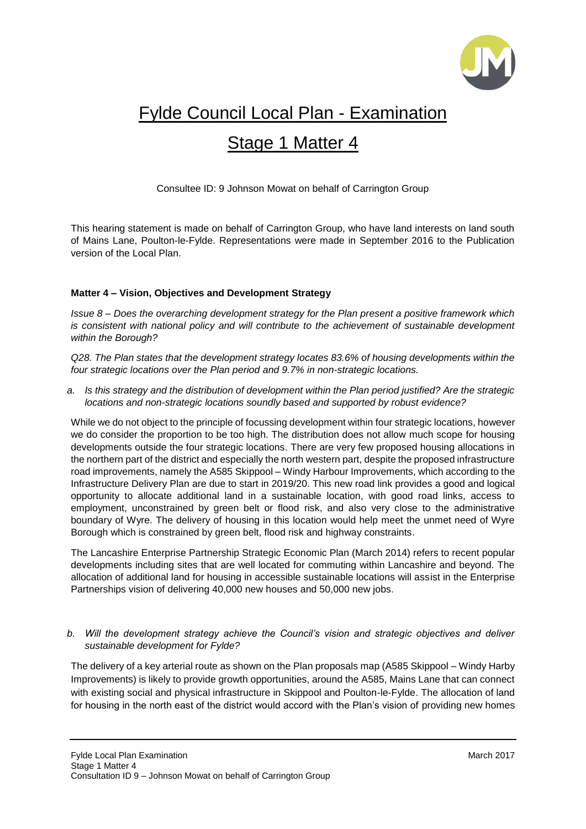

## Fylde Council Local Plan - Examination

## Stage 1 Matter 4

Consultee ID: 9 Johnson Mowat on behalf of Carrington Group

This hearing statement is made on behalf of Carrington Group, who have land interests on land south of Mains Lane, Poulton-le-Fylde. Representations were made in September 2016 to the Publication version of the Local Plan.

## **Matter 4 – Vision, Objectives and Development Strategy**

*Issue 8 – Does the overarching development strategy for the Plan present a positive framework which is consistent with national policy and will contribute to the achievement of sustainable development within the Borough?*

*Q28. The Plan states that the development strategy locates 83.6% of housing developments within the four strategic locations over the Plan period and 9.7% in non-strategic locations.*

*a. Is this strategy and the distribution of development within the Plan period justified? Are the strategic locations and non-strategic locations soundly based and supported by robust evidence?*

While we do not object to the principle of focussing development within four strategic locations, however we do consider the proportion to be too high. The distribution does not allow much scope for housing developments outside the four strategic locations. There are very few proposed housing allocations in the northern part of the district and especially the north western part, despite the proposed infrastructure road improvements, namely the A585 Skippool – Windy Harbour Improvements, which according to the Infrastructure Delivery Plan are due to start in 2019/20. This new road link provides a good and logical opportunity to allocate additional land in a sustainable location, with good road links, access to employment, unconstrained by green belt or flood risk, and also very close to the administrative boundary of Wyre. The delivery of housing in this location would help meet the unmet need of Wyre Borough which is constrained by green belt, flood risk and highway constraints.

The Lancashire Enterprise Partnership Strategic Economic Plan (March 2014) refers to recent popular developments including sites that are well located for commuting within Lancashire and beyond. The allocation of additional land for housing in accessible sustainable locations will assist in the Enterprise Partnerships vision of delivering 40,000 new houses and 50,000 new jobs.

## *b. Will the development strategy achieve the Council's vision and strategic objectives and deliver sustainable development for Fylde?*

The delivery of a key arterial route as shown on the Plan proposals map (A585 Skippool – Windy Harby Improvements) is likely to provide growth opportunities, around the A585, Mains Lane that can connect with existing social and physical infrastructure in Skippool and Poulton-le-Fylde. The allocation of land for housing in the north east of the district would accord with the Plan's vision of providing new homes